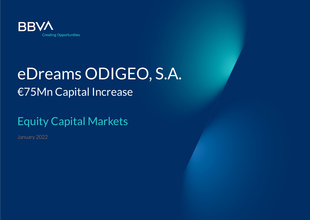

# eDreams ODIGEO, S.A. €75Mn Capital Increase

## Equity Capital Markets

January 2022